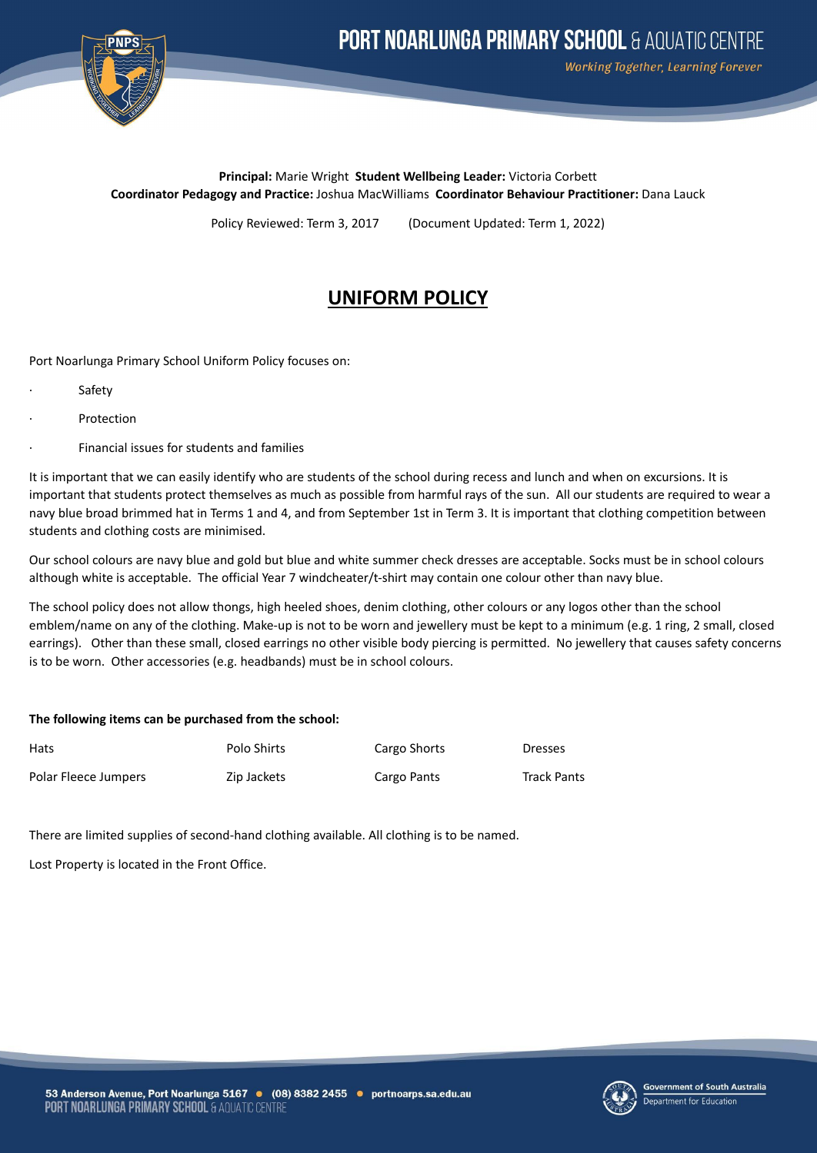

Working Together, Learning Forever

**Principal:** Marie Wright **Student Wellbeing Leader:** Victoria Corbett **Coordinator Pedagogy and Practice:** Joshua MacWilliams **Coordinator Behaviour Practitioner:** Dana Lauck

Policy Reviewed: Term 3, 2017 (Document Updated: Term 1, 2022)

## **UNIFORM POLICY**

Port Noarlunga Primary School Uniform Policy focuses on:

- **Safety**
- **Protection**
- · Financial issues for students and families

It is important that we can easily identify who are students of the school during recess and lunch and when on excursions. It is important that students protect themselves as much as possible from harmful rays of the sun. All our students are required to wear a navy blue broad brimmed hat in Terms 1 and 4, and from September 1st in Term 3. It is important that clothing competition between students and clothing costs are minimised.

Our school colours are navy blue and gold but blue and white summer check dresses are acceptable. Socks must be in school colours although white is acceptable. The official Year 7 windcheater/t-shirt may contain one colour other than navy blue.

The school policy does not allow thongs, high heeled shoes, denim clothing, other colours or any logos other than the school emblem/name on any of the clothing. Make-up is not to be worn and jewellery must be kept to a minimum (e.g. 1 ring, 2 small, closed earrings). Other than these small, closed earrings no other visible body piercing is permitted. No jewellery that causes safety concerns is to be worn. Other accessories (e.g. headbands) must be in school colours.

## **The following items can be purchased from the school:**

| <b>Hats</b>          | Polo Shirts | Cargo Shorts | <b>Dresses</b>     |
|----------------------|-------------|--------------|--------------------|
| Polar Fleece Jumpers | Zip Jackets | Cargo Pants  | <b>Track Pants</b> |

There are limited supplies of second-hand clothing available. All clothing is to be named.

Lost Property is located in the Front Office.